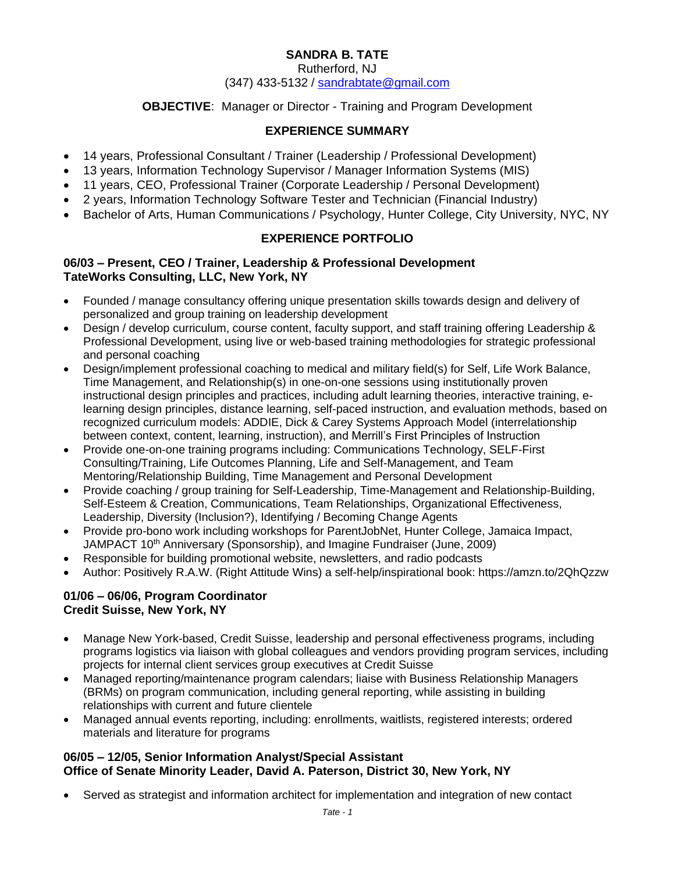# **SANDRA B. TATE**

Rutherford, NJ

#### (347) 433-5132 / [sandrabtate@gmail.com](mailto:sandrabtate@gmail.com)

#### **OBJECTIVE**: Manager or Director - Training and Program Development

### **EXPERIENCE SUMMARY**

- 14 years, Professional Consultant / Trainer (Leadership / Professional Development)
- 13 years, Information Technology Supervisor / Manager Information Systems (MIS)
- 11 years, CEO, Professional Trainer (Corporate Leadership / Personal Development)
- 2 years, Information Technology Software Tester and Technician (Financial Industry)
- Bachelor of Arts, Human Communications / Psychology, Hunter College, City University, NYC, NY

# **EXPERIENCE PORTFOLIO**

#### **06/03 – Present, CEO / Trainer, Leadership & Professional Development TateWorks Consulting, LLC, New York, NY**

- Founded / manage consultancy offering unique presentation skills towards design and delivery of personalized and group training on leadership development
- Design / develop curriculum, course content, faculty support, and staff training offering Leadership & Professional Development, using live or web-based training methodologies for strategic professional and personal coaching
- Design/implement professional coaching to medical and military field(s) for Self, Life Work Balance, Time Management, and Relationship(s) in one-on-one sessions using institutionally proven instructional design principles and practices, including adult learning theories, interactive training, elearning design principles, distance learning, self-paced instruction, and evaluation methods, based on recognized curriculum models: ADDIE, Dick & Carey Systems Approach Model (interrelationship between context, content, learning, instruction), and Merrill's First Principles of Instruction
- Provide one-on-one training programs including: Communications Technology, SELF-First Consulting/Training, Life Outcomes Planning, Life and Self-Management, and Team Mentoring/Relationship Building, Time Management and Personal Development
- Provide coaching / group training for Self-Leadership, Time-Management and Relationship-Building, Self-Esteem & Creation, Communications, Team Relationships, Organizational Effectiveness, Leadership, Diversity (Inclusion?), Identifying / Becoming Change Agents
- Provide pro-bono work including workshops for ParentJobNet, Hunter College, Jamaica Impact, JAMPACT 10<sup>th</sup> Anniversary (Sponsorship), and Imagine Fundraiser (June, 2009)
- Responsible for building promotional website, newsletters, and radio podcasts
- Author: Positively R.A.W. (Right Attitude Wins) a self-help/inspirational book: https://amzn.to/2QhQzzw

#### **01/06 – 06/06, Program Coordinator Credit Suisse, New York, NY**

- Manage New York-based, Credit Suisse, leadership and personal effectiveness programs, including programs logistics via liaison with global colleagues and vendors providing program services, including projects for internal client services group executives at Credit Suisse
- Managed reporting/maintenance program calendars; liaise with Business Relationship Managers (BRMs) on program communication, including general reporting, while assisting in building relationships with current and future clientele
- Managed annual events reporting, including: enrollments, waitlists, registered interests; ordered materials and literature for programs

### **06/05 – 12/05, Senior Information Analyst/Special Assistant Office of Senate Minority Leader, David A. Paterson, District 30, New York, NY**

• Served as strategist and information architect for implementation and integration of new contact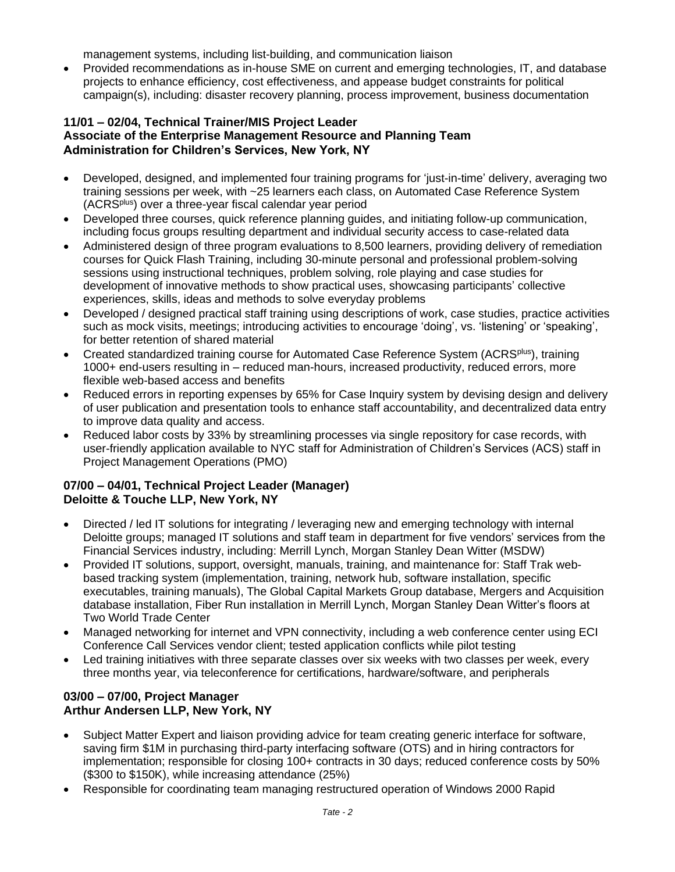management systems, including list-building, and communication liaison

• Provided recommendations as in-house SME on current and emerging technologies, IT, and database projects to enhance efficiency, cost effectiveness, and appease budget constraints for political campaign(s), including: disaster recovery planning, process improvement, business documentation

#### **11/01 – 02/04, Technical Trainer/MIS Project Leader Associate of the Enterprise Management Resource and Planning Team Administration for Children's Services, New York, NY**

- Developed, designed, and implemented four training programs for 'just-in-time' delivery, averaging two training sessions per week, with ~25 learners each class, on Automated Case Reference System (ACRSplus) over a three-year fiscal calendar year period
- Developed three courses, quick reference planning guides, and initiating follow-up communication, including focus groups resulting department and individual security access to case-related data
- Administered design of three program evaluations to 8,500 learners, providing delivery of remediation courses for Quick Flash Training, including 30-minute personal and professional problem-solving sessions using instructional techniques, problem solving, role playing and case studies for development of innovative methods to show practical uses, showcasing participants' collective experiences, skills, ideas and methods to solve everyday problems
- Developed / designed practical staff training using descriptions of work, case studies, practice activities such as mock visits, meetings; introducing activities to encourage 'doing', vs. 'listening' or 'speaking', for better retention of shared material
- Created standardized training course for Automated Case Reference System (ACRS<sup>plus</sup>), training 1000+ end-users resulting in – reduced man-hours, increased productivity, reduced errors, more flexible web-based access and benefits
- Reduced errors in reporting expenses by 65% for Case Inquiry system by devising design and delivery of user publication and presentation tools to enhance staff accountability, and decentralized data entry to improve data quality and access.
- Reduced labor costs by 33% by streamlining processes via single repository for case records, with user-friendly application available to NYC staff for Administration of Children's Services (ACS) staff in Project Management Operations (PMO)

### **07/00 – 04/01, Technical Project Leader (Manager) Deloitte & Touche LLP, New York, NY**

- Directed / led IT solutions for integrating / leveraging new and emerging technology with internal Deloitte groups; managed IT solutions and staff team in department for five vendors' services from the Financial Services industry, including: Merrill Lynch, Morgan Stanley Dean Witter (MSDW)
- Provided IT solutions, support, oversight, manuals, training, and maintenance for: Staff Trak webbased tracking system (implementation, training, network hub, software installation, specific executables, training manuals), The Global Capital Markets Group database, Mergers and Acquisition database installation, Fiber Run installation in Merrill Lynch, Morgan Stanley Dean Witter's floors at Two World Trade Center
- Managed networking for internet and VPN connectivity, including a web conference center using ECI Conference Call Services vendor client; tested application conflicts while pilot testing
- Led training initiatives with three separate classes over six weeks with two classes per week, every three months year, via teleconference for certifications, hardware/software, and peripherals

### **03/00 – 07/00, Project Manager Arthur Andersen LLP, New York, NY**

- Subject Matter Expert and liaison providing advice for team creating generic interface for software, saving firm \$1M in purchasing third-party interfacing software (OTS) and in hiring contractors for implementation; responsible for closing 100+ contracts in 30 days; reduced conference costs by 50% (\$300 to \$150K), while increasing attendance (25%)
- Responsible for coordinating team managing restructured operation of Windows 2000 Rapid